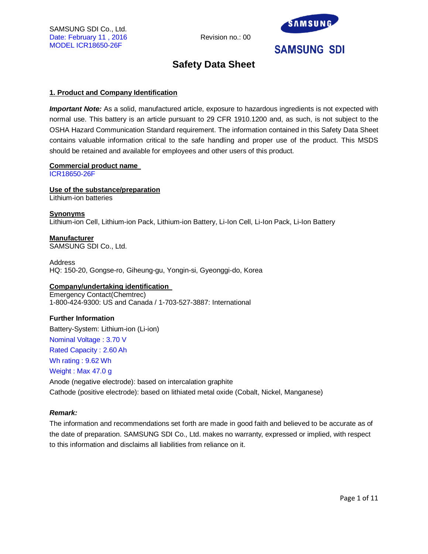

## **Safety Data Sheet**

## **1. Product and Company Identification**

*Important Note:* As a solid, manufactured article, exposure to hazardous ingredients is not expected with normal use. This battery is an article pursuant to 29 CFR 1910.1200 and, as such, is not subject to the OSHA Hazard Communication Standard requirement. The information contained in this Safety Data Sheet contains valuable information critical to the safe handling and proper use of the product. This MSDS should be retained and available for employees and other users of this product.

## **Commercial product name**

ICR18650-26F

**Use of the substance/preparation** Lithium-ion batteries

**Synonyms** Lithium-ion Cell, Lithium-ion Pack, Lithium-ion Battery, Li-Ion Cell, Li-Ion Pack, Li-Ion Battery

**Manufacturer** SAMSUNG SDI Co., Ltd.

Address HQ: 150-20, Gongse-ro, Giheung-gu, Yongin-si, Gyeonggi-do, Korea

## **Company/undertaking identification**

Emergency Contact(Chemtrec) 1-800-424-9300: US and Canada / 1-703-527-3887: International

## **Further Information**

Battery-System: Lithium-ion (Li-ion) Nominal Voltage : 3.70 V Rated Capacity : 2.60 Ah Wh rating : 9.62 Wh Weight : Max 47.0 g Anode (negative electrode): based on intercalation graphite Cathode (positive electrode): based on lithiated metal oxide (Cobalt, Nickel, Manganese)

## *Remark:*

The information and recommendations set forth are made in good faith and believed to be accurate as of the date of preparation. SAMSUNG SDI Co., Ltd. makes no warranty, expressed or implied, with respect to this information and disclaims all liabilities from reliance on it.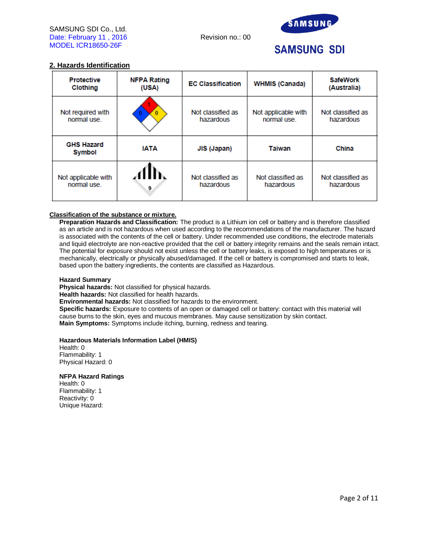

## **2. Hazards Identification**

| <b>Protective</b><br>Clothing     | <b>NFPA Rating</b><br>(USA)                 | <b>EC Classification</b>                                             | <b>WHMIS (Canada)</b>          | <b>SafeWork</b><br>(Australia) |
|-----------------------------------|---------------------------------------------|----------------------------------------------------------------------|--------------------------------|--------------------------------|
| Not required with<br>normal use.  |                                             | Not classified as<br>Not applicable with<br>normal use.<br>hazardous |                                | Not classified as<br>hazardous |
| <b>GHS Hazard</b><br>Symbol       | <b>IATA</b><br><b>Taiwan</b><br>JIS (Japan) |                                                                      | China                          |                                |
| Not applicable with<br>normal use | 9                                           | Not classified as<br>hazardous                                       | Not classified as<br>hazardous | Not classified as<br>hazardous |

## **Classification of the substance or mixture.**

**Preparation Hazards and Classification:** The product is a Lithium ion cell or battery and is therefore classified as an article and is not hazardous when used according to the recommendations of the manufacturer. The hazard is associated with the contents of the cell or battery. Under recommended use conditions, the electrode materials and liquid electrolyte are non-reactive provided that the cell or battery integrity remains and the seals remain intact. The potential for exposure should not exist unless the cell or battery leaks, is exposed to high temperatures or is mechanically, electrically or physically abused/damaged. If the cell or battery is compromised and starts to leak, based upon the battery ingredients, the contents are classified as Hazardous.

## **Hazard Summary**

**Physical hazards:** Not classified for physical hazards.

**Health hazards:** Not classified for health hazards.

**Environmental hazards:** Not classified for hazards to the environment.

**Specific hazards:** Exposure to contents of an open or damaged cell or battery: contact with this material will cause burns to the skin, eyes and mucous membranes. May cause sensitization by skin contact. **Main Symptoms:** Symptoms include itching, burning, redness and tearing.

## **Hazardous Materials Information Label (HMIS)**

Health: 0 Flammability: 1 Physical Hazard: 0

## **NFPA Hazard Ratings**

Health: 0 Flammability: 1 Reactivity: 0 Unique Hazard: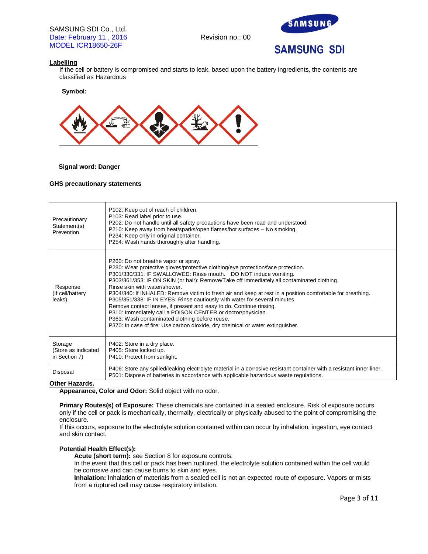

## **Labelling**

If the cell or battery is compromised and starts to leak, based upon the battery ingredients, the contents are classified as Hazardous

**Symbol:** 



## **Signal word: Danger**

## **GHS precautionary statements**

| Precautionary<br>Statement(s)<br>Prevention | P102: Keep out of reach of children.<br>P103: Read label prior to use.<br>P202: Do not handle until all safety precautions have been read and understood.<br>P210: Keep away from heat/sparks/open flames/hot surfaces - No smoking.<br>P234: Keep only in original container.<br>P254: Wash hands thoroughly after handling.                                                                                                                                                                                                                                                                                                                                                                                                                                                                     |
|---------------------------------------------|---------------------------------------------------------------------------------------------------------------------------------------------------------------------------------------------------------------------------------------------------------------------------------------------------------------------------------------------------------------------------------------------------------------------------------------------------------------------------------------------------------------------------------------------------------------------------------------------------------------------------------------------------------------------------------------------------------------------------------------------------------------------------------------------------|
| Response<br>(If cell/battery<br>leaks)      | P260: Do not breathe vapor or spray.<br>P280: Wear protective gloves/protective clothing/eye protection/face protection.<br>P301/330/331: IF SWALLOWED: Rinse mouth. DO NOT induce vomiting.<br>P303/361/353: IF ON SKIN (or hair): Remove/Take off immediately all contaminated clothing.<br>Rinse skin with water/shower.<br>P304/340: If INHALED: Remove victim to fresh air and keep at rest in a position comfortable for breathing.<br>P305/351/338: IF IN EYES: Rinse cautiously with water for several minutes.<br>Remove contact lenses, if present and easy to do. Continue rinsing.<br>P310: Immediately call a POISON CENTER or doctor/physician.<br>P363: Wash contaminated clothing before reuse.<br>P370: In case of fire: Use carbon dioxide, dry chemical or water extinguisher. |
| Storage                                     | P402: Store in a dry place.                                                                                                                                                                                                                                                                                                                                                                                                                                                                                                                                                                                                                                                                                                                                                                       |
| (Store as indicated                         | P405: Store locked up.                                                                                                                                                                                                                                                                                                                                                                                                                                                                                                                                                                                                                                                                                                                                                                            |
| in Section 7)                               | P410: Protect from sunlight.                                                                                                                                                                                                                                                                                                                                                                                                                                                                                                                                                                                                                                                                                                                                                                      |
| Disposal                                    | P406: Store any spilled/leaking electrolyte material in a corrosive resistant container with a resistant inner liner.                                                                                                                                                                                                                                                                                                                                                                                                                                                                                                                                                                                                                                                                             |
| .                                           | P501: Dispose of batteries in accordance with applicable hazardous waste regulations.                                                                                                                                                                                                                                                                                                                                                                                                                                                                                                                                                                                                                                                                                                             |

## **Other Hazards.**

**Appearance, Color and Odor:** Solid object with no odor.

**Primary Routes(s) of Exposure:** These chemicals are contained in a sealed enclosure. Risk of exposure occurs only if the cell or pack is mechanically, thermally, electrically or physically abused to the point of compromising the enclosure.

If this occurs, exposure to the electrolyte solution contained within can occur by inhalation, ingestion, eye contact and skin contact.

## **Potential Health Effect(s):**

**Acute (short term):** see Section 8 for exposure controls.

In the event that this cell or pack has been ruptured, the electrolyte solution contained within the cell would be corrosive and can cause burns to skin and eyes.

**Inhalation:** Inhalation of materials from a sealed cell is not an expected route of exposure. Vapors or mists from a ruptured cell may cause respiratory irritation.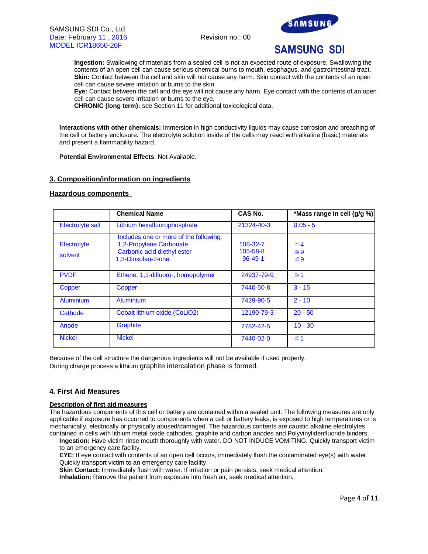

**Ingestion:** Swallowing of materials from a sealed cell is not an expected route of exposure. Swallowing the contents of an open cell can cause serious chemical burns to mouth, esophagus, and gastrointestinal tract. **Skin:** Contact between the cell and skin will not cause any harm. Skin contact with the contents of an open cell can cause severe irritation or burns to the skin.

**Eye:** Contact between the cell and the eye will not cause any harm. Eye contact with the contents of an open cell can cause severe irritation or burns to the eye.

**CHRONIC (long term):** see Section 11 for additional toxicological data.

**Interactions with other chemicals:** Immersion in high conductivity liquids may cause corrosion and breaching of the cell or battery enclosure. The electrolyte solution inside of the cells may react with alkaline (basic) materials and present a flammability hazard.

**Potential Environmental Effects**: Not Available.

## **3. Composition/information on ingredients**

## **Hazardous components**

|                        | <b>Chemical Name</b>                                                                                                   | CAS No.                               | *Mass range in cell (g/g %)      |
|------------------------|------------------------------------------------------------------------------------------------------------------------|---------------------------------------|----------------------------------|
| Electrolyte salt       | Lithium hexafluorophosphate                                                                                            | 21324-40-3                            | $0.05 - 5$                       |
| Electrolyte<br>solvent | Includes one or more of the following;<br>1,2-Propylene Carbonate<br>Carbonic acid diethyl ester<br>1,3-Dioxolan-2-one | 108-32-7<br>105-58-8<br>$96 - 49 - 1$ | $\leq 4$<br>$\leq 9$<br>$\leq 9$ |
| <b>PVDF</b>            | Ethene, 1,1-difluoro-, homopolymer                                                                                     | 24937-79-9                            | $\leq 1$                         |
| Copper                 | Copper                                                                                                                 | 7440-50-8                             | $3 - 15$                         |
| Aluminium              | Aluminium                                                                                                              | 7429-90-5                             | $2 - 10$                         |
| Cathode                | Cobalt lithium oxide, (CoLiO2)                                                                                         | 12190-79-3                            | $20 - 50$                        |
| Anode                  | Graphite                                                                                                               | 7782-42-5                             | $10 - 30$                        |
| <b>Nickel</b>          | <b>Nickel</b>                                                                                                          | 7440-02-0                             | $\leq 1$                         |

Because of the cell structure the dangerous ingredients will not be available if used properly. During charge process a lithium graphite intercalation phase is formed.

## **4. First Aid Measures**

## **Description of first aid measures**

The hazardous components of this cell or battery are contained within a sealed unit. The following measures are only applicable if exposure has occurred to components when a cell or battery leaks, is exposed to high temperatures or is mechanically, electrically or physically abused/damaged. The hazardous contents are caustic alkaline electrolytes contained in cells with lithium metal oxide cathodes, graphite and carbon anodes and Polyvinylidenfluoride binders.

**Ingestion:** Have victim rinse mouth thoroughly with water. DO NOT INDUCE VOMITING. Quickly transport victim to an emergency care facility.

**EYE:** If eye contact with contents of an open cell occurs, immediately flush the contaminated eye(s) with water. Quickly transport victim to an emergency care facility.

**Skin Contact:** Immediately flush with water. If irritation or pain persists, seek medical attention.

**Inhalation:** Remove the patient from exposure into fresh air, seek medical attention.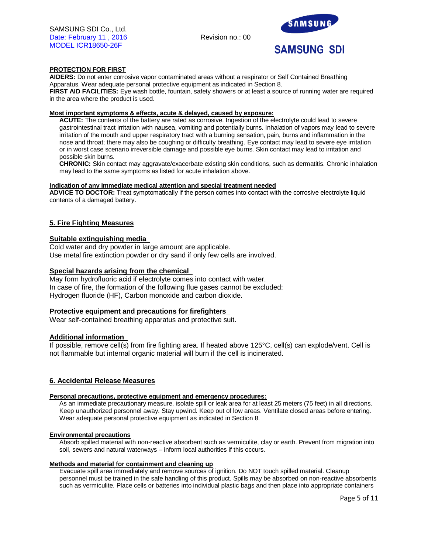

## **PROTECTION FOR FIRST**

**AIDERS:** Do not enter corrosive vapor contaminated areas without a respirator or Self Contained Breathing Apparatus. Wear adequate personal protective equipment as indicated in Section 8.

**FIRST AID FACILITIES:** Eye wash bottle, fountain, safety showers or at least a source of running water are required in the area where the product is used.

## **Most important symptoms & effects, acute & delayed, caused by exposure:**

**ACUTE:** The contents of the battery are rated as corrosive. Ingestion of the electrolyte could lead to severe gastrointestinal tract irritation with nausea, vomiting and potentially burns. Inhalation of vapors may lead to severe irritation of the mouth and upper respiratory tract with a burning sensation, pain, burns and inflammation in the nose and throat; there may also be coughing or difficulty breathing. Eye contact may lead to severe eye irritation or in worst case scenario irreversible damage and possible eye burns. Skin contact may lead to irritation and possible skin burns.

**CHRONIC:** Skin contact may aggravate/exacerbate existing skin conditions, such as dermatitis. Chronic inhalation may lead to the same symptoms as listed for acute inhalation above.

#### **Indication of any immediate medical attention and special treatment needed**

**ADVICE TO DOCTOR:** Treat symptomatically if the person comes into contact with the corrosive electrolyte liquid contents of a damaged battery.

## **5. Fire Fighting Measures**

## **Suitable extinguishing media**

Cold water and dry powder in large amount are applicable. Use metal fire extinction powder or dry sand if only few cells are involved.

## **Special hazards arising from the chemical**

May form hydrofluoric acid if electrolyte comes into contact with water. In case of fire, the formation of the following flue gases cannot be excluded: Hydrogen fluoride (HF), Carbon monoxide and carbon dioxide.

## **Protective equipment and precautions for firefighters**

Wear self-contained breathing apparatus and protective suit.

## **Additional information**

If possible, remove cell(s) from fire fighting area. If heated above 125°C, cell(s) can explode/vent. Cell is not flammable but internal organic material will burn if the cell is incinerated.

## **6. Accidental Release Measures**

## **Personal precautions, protective equipment and emergency procedures:**

As an immediate precautionary measure, isolate spill or leak area for at least 25 meters (75 feet) in all directions. Keep unauthorized personnel away. Stay upwind. Keep out of low areas. Ventilate closed areas before entering. Wear adequate personal protective equipment as indicated in Section 8.

## **Environmental precautions**

Absorb spilled material with non-reactive absorbent such as vermiculite, clay or earth. Prevent from migration into soil, sewers and natural waterways – inform local authorities if this occurs.

#### **Methods and material for containment and cleaning up**

Evacuate spill area immediately and remove sources of ignition. Do NOT touch spilled material. Cleanup personnel must be trained in the safe handling of this product. Spills may be absorbed on non-reactive absorbents such as vermiculite. Place cells or batteries into individual plastic bags and then place into appropriate containers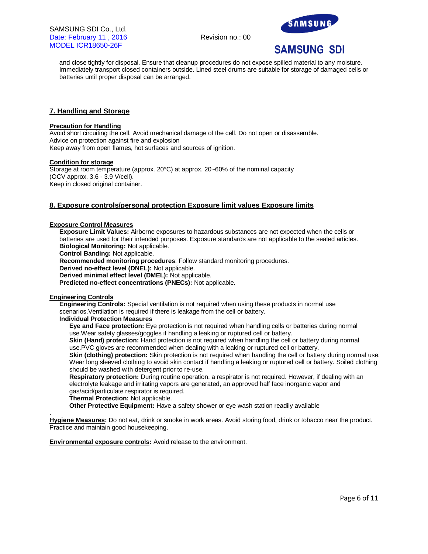



and close tightly for disposal. Ensure that cleanup procedures do not expose spilled material to any moisture. Immediately transport closed containers outside. Lined steel drums are suitable for storage of damaged cells or batteries until proper disposal can be arranged.

## **7. Handling and Storage**

#### **Precaution for Handling**

Avoid short circuiting the cell. Avoid mechanical damage of the cell. Do not open or disassemble. Advice on protection against fire and explosion Keep away from open flames, hot surfaces and sources of ignition.

#### **Condition for storage**

Storage at room temperature (approx. 20°C) at approx. 20~60% of the nominal capacity (OCV approx. 3.6 - 3.9 V/cell). Keep in closed original container.

## **8. Exposure controls/personal protection Exposure limit values Exposure limits**

#### **Exposure Control Measures**

**Exposure Limit Values:** Airborne exposures to hazardous substances are not expected when the cells or batteries are used for their intended purposes. Exposure standards are not applicable to the sealed articles. **Biological Monitoring:** Not applicable.

**Control Banding:** Not applicable.

**Recommended monitoring procedures**: Follow standard monitoring procedures.

**Derived no-effect level (DNEL):** Not applicable.

**Derived minimal effect level (DMEL):** Not applicable.

**Predicted no-effect concentrations (PNECs):** Not applicable.

#### **Engineering Controls**

**Engineering Controls:** Special ventilation is not required when using these products in normal use scenarios.Ventilation is required if there is leakage from the cell or battery.

## **Individual Protection Measures**

**Eye and Face protection:** Eye protection is not required when handling cells or batteries during normal use.Wear safety glasses/goggles if handling a leaking or ruptured cell or battery.

**Skin (Hand) protection:** Hand protection is not required when handling the cell or battery during normal use.PVC gloves are recommended when dealing with a leaking or ruptured cell or battery.

**Skin (clothing) protection:** Skin protection is not required when handling the cell or battery during normal use. Wear long sleeved clothing to avoid skin contact if handling a leaking or ruptured cell or battery. Soiled clothing should be washed with detergent prior to re-use.

**Respiratory protection:** During routine operation, a respirator is not required. However, if dealing with an electrolyte leakage and irritating vapors are generated, an approved half face inorganic vapor and gas/acid/particulate respirator is required.

**Thermal Protection:** Not applicable.

**Other Protective Equipment:** Have a safety shower or eye wash station readily available

. **Hygiene Measures:** Do not eat, drink or smoke in work areas. Avoid storing food, drink or tobacco near the product. Practice and maintain good housekeeping.

**Environmental exposure controls:** Avoid release to the environment.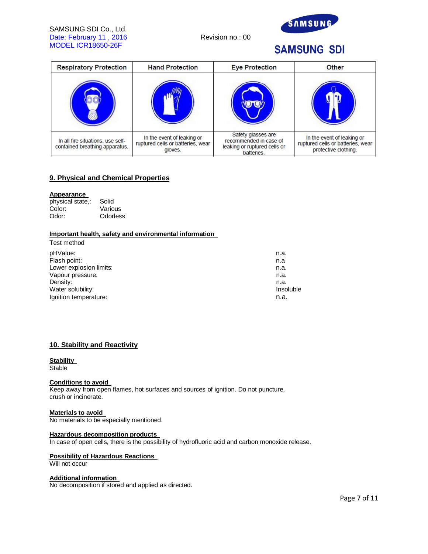## SAMSUNG SDI Co., Ltd. Date: February 11, 2016 Revision no.: 00 MODEL ICR18650-26F



## **SAMSUNG SDI**

| <b>Respiratory Protection</b>                                       | <b>Hand Protection</b>                                                     | <b>Eye Protection</b>                                                                      | <b>Other</b>                                                                            |
|---------------------------------------------------------------------|----------------------------------------------------------------------------|--------------------------------------------------------------------------------------------|-----------------------------------------------------------------------------------------|
|                                                                     |                                                                            |                                                                                            |                                                                                         |
| In all fire situations, use self-<br>contained breathing apparatus. | In the event of leaking or<br>ruptured cells or batteries, wear<br>gloves. | Safety glasses are<br>recommended in case of<br>leaking or ruptured cells or<br>batteries. | In the event of leaking or<br>ruptured cells or batteries, wear<br>protective clothing. |

## **9. Physical and Chemical Properties**

## **Appearance**

| physical state,: | Solid    |
|------------------|----------|
| Color:           | Various  |
| Odor:            | Odorless |

## **Important health, safety and environmental information**

| Test method             |           |
|-------------------------|-----------|
| pHValue:                | n.a.      |
| Flash point:            | n.a       |
| Lower explosion limits: | n.a.      |
| Vapour pressure:        | n.a.      |
| Density:                | n.a.      |
| Water solubility:       | Insoluble |
| Ignition temperature:   | n.a.      |
|                         |           |

## **10. Stability and Reactivity**

## **Stability**

**Stable** 

## **Conditions to avoid**

Keep away from open flames, hot surfaces and sources of ignition. Do not puncture, crush or incinerate.

#### **Materials to avoid**

No materials to be especially mentioned.

## **Hazardous decomposition products**

In case of open cells, there is the possibility of hydrofluoric acid and carbon monoxide release.

## **Possibility of Hazardous Reactions**

Will not occur

## **Additional information**

No decomposition if stored and applied as directed.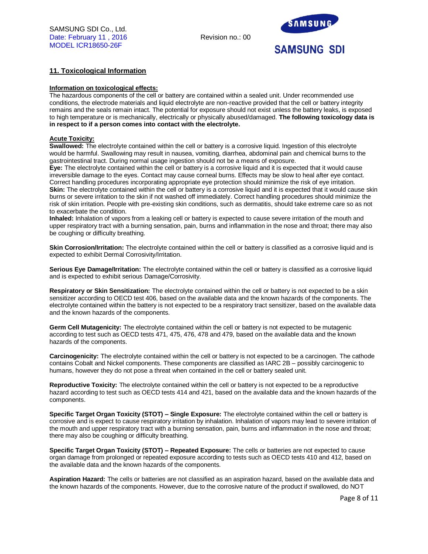

## **11. Toxicological Information**

## **Information on toxicological effects:**

The hazardous components of the cell or battery are contained within a sealed unit. Under recommended use conditions, the electrode materials and liquid electrolyte are non-reactive provided that the cell or battery integrity remains and the seals remain intact. The potential for exposure should not exist unless the battery leaks, is exposed to high temperature or is mechanically, electrically or physically abused/damaged. **The following toxicology data is in respect to if a person comes into contact with the electrolyte.**

## **Acute Toxicity:**

**Swallowed:** The electrolyte contained within the cell or battery is a corrosive liquid. Ingestion of this electrolyte would be harmful. Swallowing may result in nausea, vomiting, diarrhea, abdominal pain and chemical burns to the gastrointestinal tract. During normal usage ingestion should not be a means of exposure.

**Eye:** The electrolyte contained within the cell or battery is a corrosive liquid and it is expected that it would cause irreversible damage to the eyes. Contact may cause corneal burns. Effects may be slow to heal after eye contact. Correct handling procedures incorporating appropriate eye protection should minimize the risk of eye irritation. **Skin:** The electrolyte contained within the cell or battery is a corrosive liquid and it is expected that it would cause skin burns or severe irritation to the skin if not washed off immediately. Correct handling procedures should minimize the risk of skin irritation. People with pre-existing skin conditions, such as dermatitis, should take extreme care so as not to exacerbate the condition.

**Inhaled:** Inhalation of vapors from a leaking cell or battery is expected to cause severe irritation of the mouth and upper respiratory tract with a burning sensation, pain, burns and inflammation in the nose and throat; there may also be coughing or difficulty breathing.

**Skin Corrosion/Irritation:** The electrolyte contained within the cell or battery is classified as a corrosive liquid and is expected to exhibit Dermal Corrosivity/Irritation.

**Serious Eye Damage/Irritation:** The electrolyte contained within the cell or battery is classified as a corrosive liquid and is expected to exhibit serious Damage/Corrosivity.

**Respiratory or Skin Sensitization:** The electrolyte contained within the cell or battery is not expected to be a skin sensitizer according to OECD test 406, based on the available data and the known hazards of the components. The electrolyte contained within the battery is not expected to be a respiratory tract sensitizer, based on the available data and the known hazards of the components.

**Germ Cell Mutagenicity:** The electrolyte contained within the cell or battery is not expected to be mutagenic according to test such as OECD tests 471, 475, 476, 478 and 479, based on the available data and the known hazards of the components.

**Carcinogenicity:** The electrolyte contained within the cell or battery is not expected to be a carcinogen. The cathode contains Cobalt and Nickel components. These components are classified as IARC 2B – possibly carcinogenic to humans, however they do not pose a threat when contained in the cell or battery sealed unit.

**Reproductive Toxicity:** The electrolyte contained within the cell or battery is not expected to be a reproductive hazard according to test such as OECD tests 414 and 421, based on the available data and the known hazards of the components.

**Specific Target Organ Toxicity (STOT) – Single Exposure:** The electrolyte contained within the cell or battery is corrosive and is expect to cause respiratory irritation by inhalation. Inhalation of vapors may lead to severe irritation of the mouth and upper respiratory tract with a burning sensation, pain, burns and inflammation in the nose and throat; there may also be coughing or difficulty breathing.

**Specific Target Organ Toxicity (STOT) – Repeated Exposure:** The cells or batteries are not expected to cause organ damage from prolonged or repeated exposure according to tests such as OECD tests 410 and 412, based on the available data and the known hazards of the components.

**Aspiration Hazard:** The cells or batteries are not classified as an aspiration hazard, based on the available data and the known hazards of the components. However, due to the corrosive nature of the product if swallowed, do NOT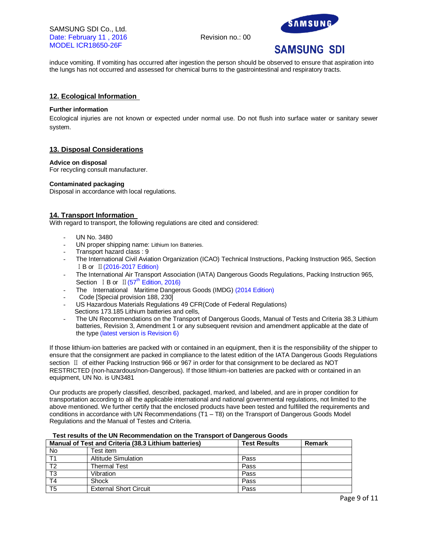SAMSUNG SDI Co., Ltd. Date: February 11, 2016 Revision no.: 00 MODEL ICR18650-26F



# **SAMSUNG SDI**

induce vomiting. If vomiting has occurred after ingestion the person should be observed to ensure that aspiration into the lungs has not occurred and assessed for chemical burns to the gastrointestinal and respiratory tracts.

## **12. Ecological Information**

## **Further information**

Ecological injuries are not known or expected under normal use. Do not flush into surface water or sanitary sewer system.

## **13. Disposal Considerations**

#### **Advice on disposal**

For recycling consult manufacturer.

## **Contaminated packaging**

Disposal in accordance with local regulations.

## **14. Transport Information**

With regard to transport, the following regulations are cited and considered:

- UN No. 3480
- UN proper shipping name: Lithium Ion Batteries.
- Transport hazard class : 9
- The International Civil Aviation Organization (ICAO) Technical Instructions, Packing Instruction 965, Section ⅠB or Ⅱ(2016-2017 Edition)
- The International Air Transport Association (IATA) Dangerous Goods Regulations, Packing Instruction 965, Section  $I$  B or  $II(57<sup>th</sup>$  Edition, 2016)
- The International Maritime Dangerous Goods (IMDG) (2014 Edition)
- Code [Special provision 188, 230]
- US Hazardous Materials Regulations 49 CFR(Code of Federal Regulations) Sections 173.185 Lithium batteries and cells,
- The UN Recommendations on the Transport of Dangerous Goods, Manual of Tests and Criteria 38.3 Lithium batteries, Revision 3, Amendment 1 or any subsequent revision and amendment applicable at the date of the type (latest version is Revision 6)

If those lithium-ion batteries are packed with or contained in an equipment, then it is the responsibility of the shipper to ensure that the consignment are packed in compliance to the latest edition of the IATA Dangerous Goods Regulations section **II** of either Packing Instruction 966 or 967 in order for that consignment to be declared as NOT RESTRICTED (non-hazardous/non-Dangerous). If those lithium-ion batteries are packed with or contained in an equipment, UN No. is UN3481

Our products are properly classified, described, packaged, marked, and labeled, and are in proper condition for transportation according to all the applicable international and national governmental regulations, not limited to the above mentioned. We further certify that the enclosed products have been tested and fulfilled the requirements and conditions in accordance with UN Recommendations (T1 – T8) on the Transport of Dangerous Goods Model Regulations and the Manual of Testes and Criteria.

## **Manual of Test and Criteria (38.3 Lithium batteries) Test Results Remark** No **Test item** T1 Altitude Simulation **Pass** T2 Thermal Test Pass Pass<br>T3 Vibration Pass Pass Vibration T4 Shock Pass T5 | External Short Circuit | Pass

#### **Test results of the UN Recommendation on the Transport of Dangerous Goods**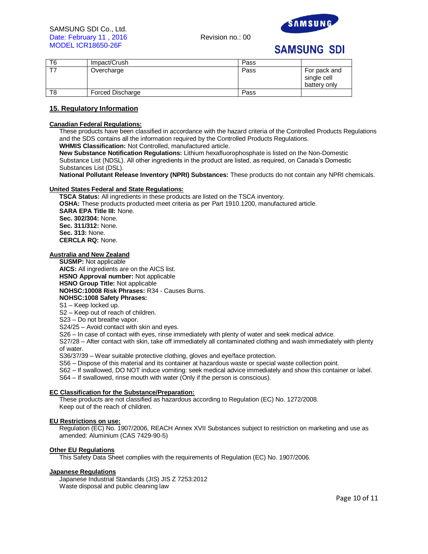



| T6 | Impact/Crush     | Pass |                                             |
|----|------------------|------|---------------------------------------------|
|    | Overcharge       | Pass | For pack and<br>single cell<br>battery only |
| T8 | Forced Discharge | Pass |                                             |

## **15. Regulatory Information**

## **Canadian Federal Regulations:**

These products have been classified in accordance with the hazard criteria of the Controlled Products Regulations and the SDS contains all the information required by the Controlled Products Regulations.

**WHMIS Classification:** Not Controlled, manufactured article.

**New Substance Notification Regulations:** Lithium hexafluorophosphate is listed on the Non-Domestic Substance List (NDSL). All other ingredients in the product are listed, as required, on Canada's Domestic Substances List (DSL).

**National Pollutant Release Inventory (NPRI) Substances:** These products do not contain any NPRI chemicals.

#### **United States Federal and State Regulations:**

**TSCA Status:** All ingredients in these products are listed on the TSCA inventory. **OSHA:** These products producted meet criteria as per Part 1910.1200, manufactured article. **SARA EPA Title III:** None. **Sec. 302/304:** None. **Sec. 311/312:** None. **Sec. 313:** None. **CERCLA RQ:** None.

## **Australia and New Zealand**

**SUSMP:** Not applicable **AICS:** All ingredients are on the AICS list. **HSNO Approval number:** Not applicable **HSNO Group Title:** Not applicable **NOHSC:10008 Risk Phrases:** R34 - Causes Burns. **NOHSC:1008 Safety Phrases:** S1 – Keep locked up. S2 – Keep out of reach of children.

S23 – Do not breathe vapor.

S24/25 – Avoid contact with skin and eyes.

S26 – In case of contact with eyes, rinse immediately with plenty of water and seek medical advice.

S27/28 – After contact with skin, take off immediately all contaminated clothing and wash immediately with plenty of water.

S36/37/39 – Wear suitable protective clothing, gloves and eye/face protection.

S56 – Dispose of this material and its container at hazardous waste or special waste collection point.

S62 – If swallowed, DO NOT induce vomiting: seek medical advice immediately and show this container or label.

S64 – If swallowed, rinse mouth with water (Only if the person is conscious).

#### **EC Classification for the Substance/Preparation:**

These products are not classified as hazardous according to Regulation (EC) No. 1272/2008. Keep out of the reach of children.

## **EU Restrictions on use:**

Regulation (EC) No. 1907/2006, REACH Annex XVII Substances subject to restriction on marketing and use as amended: Aluminium (CAS 7429-90-5)

## **Other EU Regulations**

This Safety Data Sheet complies with the requirements of Regulation (EC) No. 1907/2006.

#### **Japanese Regulations**

Japanese Industrial Standards (JIS) JIS Z 7253:2012 Waste disposal and public cleaning law